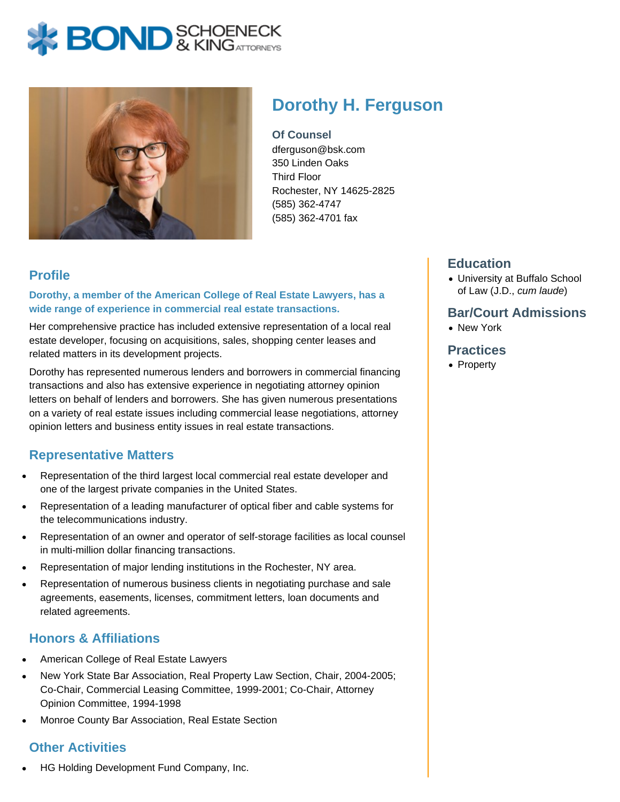# **X BOND** & KINGATTORNECK



# **Dorothy H. Ferguson**

**Of Counsel** dferguson@bsk.com 350 Linden Oaks Third Floor Rochester, NY 14625-2825 (585) 362-4747 (585) 362-4701 fax

# **Profile**

**Dorothy, a member of the American College of Real Estate Lawyers, has a wide range of experience in commercial real estate transactions.**

Her comprehensive practice has included extensive representation of a local real estate developer, focusing on acquisitions, sales, shopping center leases and related matters in its development projects.

Dorothy has represented numerous lenders and borrowers in commercial financing transactions and also has extensive experience in negotiating attorney opinion letters on behalf of lenders and borrowers. She has given numerous presentations on a variety of real estate issues including commercial lease negotiations, attorney opinion letters and business entity issues in real estate transactions.

# **Representative Matters**

- Representation of the third largest local commercial real estate developer and one of the largest private companies in the United States.
- Representation of a leading manufacturer of optical fiber and cable systems for the telecommunications industry.
- Representation of an owner and operator of self-storage facilities as local counsel in multi-million dollar financing transactions.
- Representation of major lending institutions in the Rochester, NY area.
- Representation of numerous business clients in negotiating purchase and sale agreements, easements, licenses, commitment letters, loan documents and related agreements.

#### **Honors & Affiliations**

- American College of Real Estate Lawyers
- New York State Bar Association, Real Property Law Section, Chair, 2004-2005; Co-Chair, Commercial Leasing Committee, 1999-2001; Co-Chair, Attorney Opinion Committee, 1994-1998
- Monroe County Bar Association, Real Estate Section

# **Other Activities**

HG Holding Development Fund Company, Inc.

### **Education**

University at Buffalo School of Law (J.D., cum laude)

#### **Bar/Court Admissions**

New York

#### **Practices**

• Property